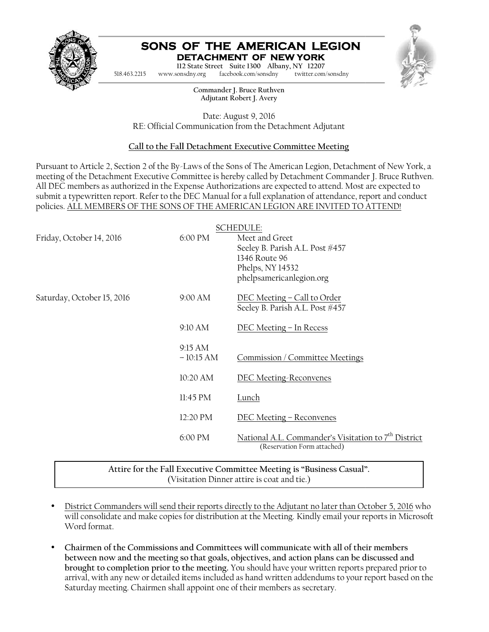

## **SONS OF THE AMERICAN LEGION DETACHMENT OF NEW YORK**



# **Call to the Fall Detachment Executive Committee Meeting**

| 518.463.2215               | www.sonsdny.org        | SONS OF THE AMERICAN LEGION<br>DETACHMENT OF NEW YORK<br>112 State Street Suite 1300 Albany, NY 12207<br>facebook.com/sonsdny<br>twitter.com/sonsdny                                                                                                                                                                                                                                                                                                                                                                                      |  |
|----------------------------|------------------------|-------------------------------------------------------------------------------------------------------------------------------------------------------------------------------------------------------------------------------------------------------------------------------------------------------------------------------------------------------------------------------------------------------------------------------------------------------------------------------------------------------------------------------------------|--|
|                            |                        | Commander J. Bruce Ruthven<br>Adjutant Robert J. Avery                                                                                                                                                                                                                                                                                                                                                                                                                                                                                    |  |
|                            |                        | Date: August 9, 2016<br>RE: Official Communication from the Detachment Adjutant                                                                                                                                                                                                                                                                                                                                                                                                                                                           |  |
|                            |                        | Call to the Fall Detachment Executive Committee Meeting                                                                                                                                                                                                                                                                                                                                                                                                                                                                                   |  |
|                            |                        | Pursuant to Article 2, Section 2 of the By-Laws of the Sons of The American Legion, Detachment of New York, a<br>meeting of the Detachment Executive Committee is hereby called by Detachment Commander J. Bruce Ruthven.<br>All DEC members as authorized in the Expense Authorizations are expected to attend. Most are expected to<br>submit a typewritten report. Refer to the DEC Manual for a full explanation of attendance, report and conduct<br>policies. ALL MEMBERS OF THE SONS OF THE AMERICAN LEGION ARE INVITED TO ATTEND! |  |
| Friday, October 14, 2016   | 6:00 PM                | <b>SCHEDULE:</b><br>Meet and Greet<br>Seeley B. Parish A.L. Post #457<br>1346 Route 96<br>Phelps, NY 14532<br>phelpsamericanlegion.org                                                                                                                                                                                                                                                                                                                                                                                                    |  |
| Saturday, October 15, 2016 | 9:00 AM                | DEC Meeting - Call to Order<br>Seeley B. Parish A.L. Post #457                                                                                                                                                                                                                                                                                                                                                                                                                                                                            |  |
|                            | 9:10 AM                | DEC Meeting - In Recess                                                                                                                                                                                                                                                                                                                                                                                                                                                                                                                   |  |
|                            | 9:15 AM<br>$-10:15 AM$ | Commission / Committee Meetings                                                                                                                                                                                                                                                                                                                                                                                                                                                                                                           |  |
|                            | 10:20 AM               | <b>DEC Meeting-Reconvenes</b>                                                                                                                                                                                                                                                                                                                                                                                                                                                                                                             |  |
|                            | 11:45 PM               | Lunch                                                                                                                                                                                                                                                                                                                                                                                                                                                                                                                                     |  |
|                            | 12:20 PM               | DEC Meeting – Reconvenes                                                                                                                                                                                                                                                                                                                                                                                                                                                                                                                  |  |
|                            | 6:00 PM                | National A.L. Commander's Visitation to 7 <sup>th</sup> District<br>(Reservation Form attached)                                                                                                                                                                                                                                                                                                                                                                                                                                           |  |
|                            |                        | Attire for the Fall Executive Committee Meeting is "Business Casual".<br>(Visitation Dinner attire is coat and tie.)                                                                                                                                                                                                                                                                                                                                                                                                                      |  |
| Word format.               |                        | District Commanders will send their reports directly to the Adjutant no later than October 5, 2016 who<br>will consolidate and make copies for distribution at the Meeting. Kindly email your reports in Microsoft                                                                                                                                                                                                                                                                                                                        |  |
| ٠                          |                        | Chairmen of the Commissions and Committees will communicate with all of their members<br>between now and the meeting so that goals, objectives, and action plans can be discussed and<br>brought to completion prior to the meeting. You should have your written reports prepared prior to<br>arrival, with any new or detailed items included as hand written addendums to your report based on the<br>Saturday meeting. Chairmen shall appoint one of their members as secretary.                                                      |  |

- District Commanders will send their reports directly to the Adjutant no later than October 5, 2016 who will consolidate and make copies for distribution at the Meeting. Kindly email your reports in Microsoft Word format. 6:00 PM Mational A.L. Commander's Visitation to 7<br>(Reservation Form attached)<br>Attire for the Fall Executive Committee Meeting is "Business Casual".<br>(Visitation Dinner attire is coat and tie.)<br>District Commanders will send
- **Chairmen of the Commissions and Committees will communicate with all of their members** Chairmen of the Commissions and Committees will communicate with all of their members<br>between now and the meeting so that goals, objectives, and action plans can be discussed and **brought to completion prior to the meeting.** You should have your written reports prepared prior to arrival, with any new or detailed items included as hand written addendums to your report based on the Saturday meeting. Chairmen shall appoint one of their members as secretary.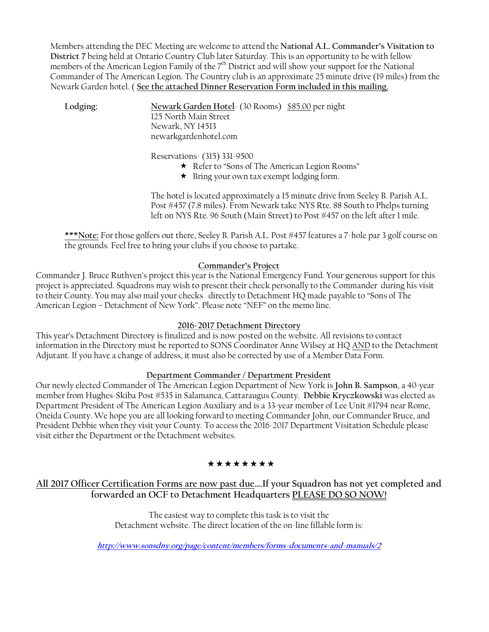Members attending the DEC Meeting are welcome to attend the **National A.L. Commander's Visitation to District 7** being held at Ontario Country Club later Saturday. This is an opportunity to be with fellow members of the American Legion Family of the 7<sup>th</sup> District and will show your support for the National Commander of The American Legion. The Country club is an approximate 25 minute drive (19 miles) from the Newark Garden hotel. ( **See the attached Dinner Reservation Form included in this mailing.**

**Lodging: Newark Garden Hotel**- (30 Rooms) \$85.00 per night 125 North Main Street Newark, NY 14513 newarkgardenhotel.com

Reservations- (315) 331-9500

- \* Refer to "Sons of The American Legion Rooms"
- $\star$  Bring your own tax exempt lodging form.

The hotel is located approximately a 15 minute drive from Seeley B. Parish A.L. Post #457 (7.8 miles). From Newark take NYS Rte. 88 South to Phelps turning left on NYS Rte. 96 South (Main Street) to Post #457 on the left after 1 mile.

**\*\*\*Note:** For those golfers out there, Seeley B. Parish A.L. Post #457 features a 7-hole par 3 golf course on the grounds. Feel free to bring your clubs if you choose to partake.

#### **Commander's Project**

Commander J. Bruce Ruthven's project this year is the National Emergency Fund. Your generous support for this project is appreciated. Squadrons may wish to present their check personally to the Commander during his visit to their County. You may also mail your checks directly to Detachment HQ made payable to "Sons of The American Legion – Detachment of New York". Please note "NEF" on the memo line.

#### **2016-2017 Detachment Directory**

This year's Detachment Directory is finalized and is now posted on the website. All revisions to contact information in the Directory must be reported to SONS Coordinator Anne Wilsey at HQ AND to the Detachment Adjutant. If you have a change of address, it must also be corrected by use of a Member Data Form.

## **Department Commander / Department President**

Our newly elected Commander of The American Legion Department of New York is **John B. Sampson**, a 40-year member from Hughes-Skiba Post #535 in Salamanca, Cattaraugus County. **Debbie Kryczkowski** was elected as Department President of The American Legion Auxiliary and is a 33-year member of Lee Unit #1794 near Rome, Oneida County. We hope you are all looking forward to meeting Commander John, our Commander Bruce, and President Debbie when they visit your County. To access the 2016-2017 Department Visitation Schedule please visit either the Department or the Detachment websites.

## \*\*\*\*\*\*\*\*

# **All 2017 Officer Certification Forms are now past due….If your Squadron has not yet completed and forwarded an OCF to Detachment Headquarters PLEASE DO SO NOW!**

The easiest way to complete this task is to visit the Detachment website. The direct location of the on-line fillable form is:

*http://www.sonsdny.org/page/content/members/forms-documents-and-manuals/2*